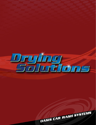

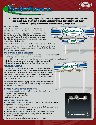

GaleFord

GaleForc

# *An intelligent, high-performance system designed not as an add-on, but as a fully integrated function of the Oasis high-pressure automatic program.*

onsit

### **ON-BOARD**

The GaleForce is the only on-board dryer that operates via an independent drive. After the vehicle has been washed, the main bridge parks at the entrance of the wash bay while the GaleForce drys the vehicle in one or two "customer programmable" passes. This unique feature prevents water from dripping onto the vehicle after it is dry, as is typical with most on-board docking units.

Because it is part of the Oasis system, the GaleForce detects the measurements of each vehicle and travels only the necessary distance to complete the job. This saves you time and money and eliminates the need for additional sensing devices.

#### **ON-BOARD DRYER BENEFITS**

• Unique independent hydraulic gear drive system keeps additional weight off the wash bridge, resulting in less wear and maintenance

ia le Force

- Can quickly be reprogrammed as a stand-alone dryer on busy days to increase throughput
- Eliminates water dripping on the vehicle from the wet wash bridge
- Measures the length of the vehicle for fast, efficient operation

### **STAND-ALONE**

The GaleForce stand-alone dryer is used when optimum output is mandatory. While one car is drying, your Oasis high-pressure automatic will continue with the next vend, keeping the line moving at up to 40 cars per hour. Whether wall (interior or exterior) or leg mounted, this freestanding unit requires little space, and may be incorporated into any Oasis wash system.

For a truly budget-conscious drying solution, Oasis also offers the ST Series dryer which gives you the freedom to configure the location of the blowers on the machine.

### **STAND-ALONE DRYER BENEFITS**

- Compact construction allows installation in very short wash bays
- Customer-friendly open design
- Direct car wash system interface
- Adjustable time settings

### **SYSTEM BENEFITS**

- **•** Customer-friendly design for easy entrance and exit without fear of damage
- **•** High volume and velocity air flow
- **•** ABS plastic covers with state-of-the-art imagery to protect your investment from the aggressive car wash environment
- **•** Quiet and efficient turbines running at 3600 RPM provide drying power
- **•** Fully integrated and programmable through the car wash controller
- **•** Totally enclosed motors
- **•** Blower housings constructed of high-density polyethylene

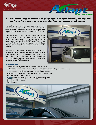

# *A revolutionary on-board drying system specifically designed to interface with any pre-existing car wash equipment.*

Car wash owners have long been asking for a highquality drying system that would be compatible with their existing equipment, so Oasis developed and engineered an on-board dryer for just that purpose.

With the ADAPT™ Drying System operators are no longer limited to just a freestanding dryer as it can easily be integrated into any in-bay automatic car wash system on the market. The ADAPT<sup>™</sup> also offers owners more control over the drying process which, in turn, allows them to offer their customers a better quality product.

The ease of operation of this fully self-contained unit serves to enhance the overall car wash experience. The customer only has to drive into the drying bay and the system does the rest. The automated drying bay allows for two cars to be processed simultaneously, resulting in increased income for the operator.



Calare

### **BENEFITS**

- Compatible with any touch-free or friction in-bay car wash
- Features Variable Frequency Drive (VFD) for speed control movement up and down the bay
- Allows operators flexibility and control over the drying process
- Results in higher throughput than standard on-board drying systems
- Programmable Logic Controller (PLC)
- $\epsilon$  (Electronic Scanning and Positioning) Virtual stop station
- Controls tire shine systems
- Controls doors